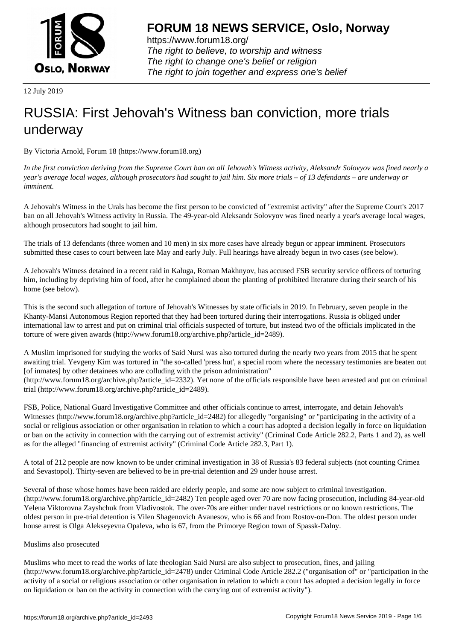

https://www.forum18.org/ The right to believe, to worship and witness The right to change one's belief or religion [The right to join together a](https://www.forum18.org/)nd express one's belief

12 July 2019

# [RUSSIA: First J](https://www.forum18.org)ehovah's Witness ban conviction, more trials underway

By Victoria Arnold, Forum 18 (https://www.forum18.org)

*In the first conviction deriving from the Supreme Court ban on all Jehovah's Witness activity, Aleksandr Solovyov was fined nearly a year's average local wages, although prosecutors had sought to jail him. Six more trials – of 13 defendants – are underway or imminent.*

A Jehovah's Witness in the Urals has become the first person to be convicted of "extremist activity" after the Supreme Court's 2017 ban on all Jehovah's Witness activity in Russia. The 49-year-old Aleksandr Solovyov was fined nearly a year's average local wages, although prosecutors had sought to jail him.

The trials of 13 defendants (three women and 10 men) in six more cases have already begun or appear imminent. Prosecutors submitted these cases to court between late May and early July. Full hearings have already begun in two cases (see below).

A Jehovah's Witness detained in a recent raid in Kaluga, Roman Makhnyov, has accused FSB security service officers of torturing him, including by depriving him of food, after he complained about the planting of prohibited literature during their search of his home (see below).

This is the second such allegation of torture of Jehovah's Witnesses by state officials in 2019. In February, seven people in the Khanty-Mansi Autonomous Region reported that they had been tortured during their interrogations. Russia is obliged under international law to arrest and put on criminal trial officials suspected of torture, but instead two of the officials implicated in the torture of were given awards (http://www.forum18.org/archive.php?article\_id=2489).

A Muslim imprisoned for studying the works of Said Nursi was also tortured during the nearly two years from 2015 that he spent awaiting trial. Yevgeny Kim was tortured in "the so-called 'press hut', a special room where the necessary testimonies are beaten out [of inmates] by other detainees who are colluding with the prison administration" (http://www.forum18.org/archive.php?article\_id=2332). Yet none of the officials responsible have been arrested and put on criminal trial (http://www.forum18.org/archive.php?article\_id=2489).

FSB, Police, National Guard Investigative Committee and other officials continue to arrest, interrogate, and detain Jehovah's Witnesses (http://www.forum18.org/archive.php?article\_id=2482) for allegedly "organising" or "participating in the activity of a social or religious association or other organisation in relation to which a court has adopted a decision legally in force on liquidation or ban on the activity in connection with the carrying out of extremist activity" (Criminal Code Article 282.2, Parts 1 and 2), as well as for the alleged "financing of extremist activity" (Criminal Code Article 282.3, Part 1).

A total of 212 people are now known to be under criminal investigation in 38 of Russia's 83 federal subjects (not counting Crimea and Sevastopol). Thirty-seven are believed to be in pre-trial detention and 29 under house arrest.

Several of those whose homes have been raided are elderly people, and some are now subject to criminal investigation. (http://www.forum18.org/archive.php?article\_id=2482) Ten people aged over 70 are now facing prosecution, including 84-year-old Yelena Viktorovna Zayshchuk from Vladivostok. The over-70s are either under travel restrictions or no known restrictions. The oldest person in pre-trial detention is Vilen Shagenovich Avanesov, who is 66 and from Rostov-on-Don. The oldest person under house arrest is Olga Alekseyevna Opaleva, who is 67, from the Primorye Region town of Spassk-Dalny.

## Muslims also prosecuted

Muslims who meet to read the works of late theologian Said Nursi are also subject to prosecution, fines, and jailing (http://www.forum18.org/archive.php?article\_id=2478) under Criminal Code Article 282.2 ("organisation of" or "participation in the activity of a social or religious association or other organisation in relation to which a court has adopted a decision legally in force on liquidation or ban on the activity in connection with the carrying out of extremist activity").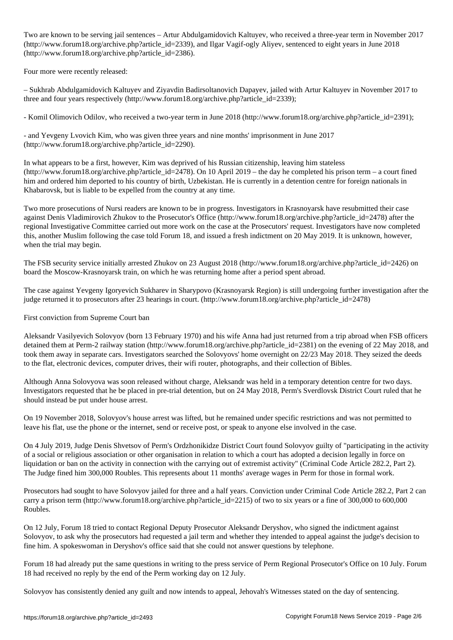Two are known to be serving jail sentences – Artur Abdulgamidovich Kaltuyev, who received a three-year term in November 2017 (http://www.forum18.org/archive.php?article\_id=2339), and Ilgar Vagif-ogly Aliyev, sentenced to eight years in June 2018 (http://www.forum18.org/archive.php?article\_id=2386).

Four more were recently released:

– Sukhrab Abdulgamidovich Kaltuyev and Ziyavdin Badirsoltanovich Dapayev, jailed with Artur Kaltuyev in November 2017 to three and four years respectively (http://www.forum18.org/archive.php?article\_id=2339);

- Komil Olimovich Odilov, who received a two-year term in June 2018 (http://www.forum18.org/archive.php?article\_id=2391);

- and Yevgeny Lvovich Kim, who was given three years and nine months' imprisonment in June 2017 (http://www.forum18.org/archive.php?article\_id=2290).

In what appears to be a first, however, Kim was deprived of his Russian citizenship, leaving him stateless (http://www.forum18.org/archive.php?article\_id=2478). On 10 April 2019 – the day he completed his prison term – a court fined him and ordered him deported to his country of birth, Uzbekistan. He is currently in a detention centre for foreign nationals in Khabarovsk, but is liable to be expelled from the country at any time.

Two more prosecutions of Nursi readers are known to be in progress. Investigators in Krasnoyarsk have resubmitted their case against Denis Vladimirovich Zhukov to the Prosecutor's Office (http://www.forum18.org/archive.php?article\_id=2478) after the regional Investigative Committee carried out more work on the case at the Prosecutors' request. Investigators have now completed this, another Muslim following the case told Forum 18, and issued a fresh indictment on 20 May 2019. It is unknown, however, when the trial may begin.

The FSB security service initially arrested Zhukov on 23 August 2018 (http://www.forum18.org/archive.php?article\_id=2426) on board the Moscow-Krasnoyarsk train, on which he was returning home after a period spent abroad.

The case against Yevgeny Igoryevich Sukharev in Sharypovo (Krasnoyarsk Region) is still undergoing further investigation after the judge returned it to prosecutors after 23 hearings in court. (http://www.forum18.org/archive.php?article\_id=2478)

First conviction from Supreme Court ban

Aleksandr Vasilyevich Solovyov (born 13 February 1970) and his wife Anna had just returned from a trip abroad when FSB officers detained them at Perm-2 railway station (http://www.forum18.org/archive.php?article\_id=2381) on the evening of 22 May 2018, and took them away in separate cars. Investigators searched the Solovyovs' home overnight on 22/23 May 2018. They seized the deeds to the flat, electronic devices, computer drives, their wifi router, photographs, and their collection of Bibles.

Although Anna Solovyova was soon released without charge, Aleksandr was held in a temporary detention centre for two days. Investigators requested that he be placed in pre-trial detention, but on 24 May 2018, Perm's Sverdlovsk District Court ruled that he should instead be put under house arrest.

On 19 November 2018, Solovyov's house arrest was lifted, but he remained under specific restrictions and was not permitted to leave his flat, use the phone or the internet, send or receive post, or speak to anyone else involved in the case.

On 4 July 2019, Judge Denis Shvetsov of Perm's Ordzhonikidze District Court found Solovyov guilty of "participating in the activity of a social or religious association or other organisation in relation to which a court has adopted a decision legally in force on liquidation or ban on the activity in connection with the carrying out of extremist activity" (Criminal Code Article 282.2, Part 2). The Judge fined him 300,000 Roubles. This represents about 11 months' average wages in Perm for those in formal work.

Prosecutors had sought to have Solovyov jailed for three and a half years. Conviction under Criminal Code Article 282.2, Part 2 can carry a prison term (http://www.forum18.org/archive.php?article\_id=2215) of two to six years or a fine of 300,000 to 600,000 Roubles.

On 12 July, Forum 18 tried to contact Regional Deputy Prosecutor Aleksandr Deryshov, who signed the indictment against Solovyov, to ask why the prosecutors had requested a jail term and whether they intended to appeal against the judge's decision to fine him. A spokeswoman in Deryshov's office said that she could not answer questions by telephone.

Forum 18 had already put the same questions in writing to the press service of Perm Regional Prosecutor's Office on 10 July. Forum 18 had received no reply by the end of the Perm working day on 12 July.

Solovyov has consistently denied any guilt and now intends to appeal, Jehovah's Witnesses stated on the day of sentencing.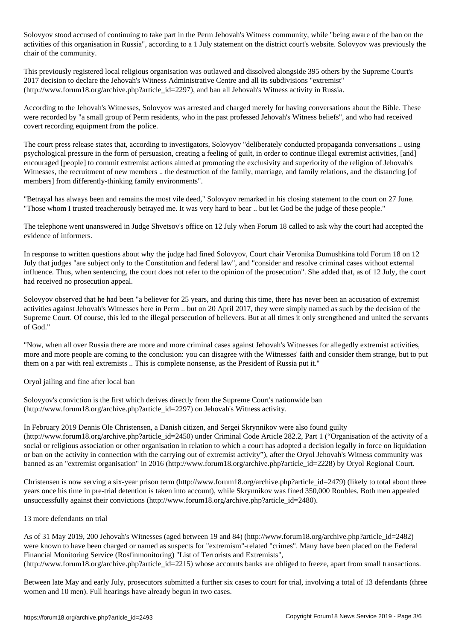Solovyov stood accused of continuing to take part in the Perm Jehovah's Witness community, while "being aware of the ban on the activities of this organisation in Russia", according to a 1 July statement on the district court's website. Solovyov was previously the chair of the community.

This previously registered local religious organisation was outlawed and dissolved alongside 395 others by the Supreme Court's 2017 decision to declare the Jehovah's Witness Administrative Centre and all its subdivisions "extremist" (http://www.forum18.org/archive.php?article\_id=2297), and ban all Jehovah's Witness activity in Russia.

According to the Jehovah's Witnesses, Solovyov was arrested and charged merely for having conversations about the Bible. These were recorded by "a small group of Perm residents, who in the past professed Jehovah's Witness beliefs", and who had received covert recording equipment from the police.

The court press release states that, according to investigators, Solovyov "deliberately conducted propaganda conversations .. using psychological pressure in the form of persuasion, creating a feeling of guilt, in order to continue illegal extremist activities, [and] encouraged [people] to commit extremist actions aimed at promoting the exclusivity and superiority of the religion of Jehovah's Witnesses, the recruitment of new members .. the destruction of the family, marriage, and family relations, and the distancing [of members] from differently-thinking family environments".

"Betrayal has always been and remains the most vile deed," Solovyov remarked in his closing statement to the court on 27 June. "Those whom I trusted treacherously betrayed me. It was very hard to bear .. but let God be the judge of these people."

The telephone went unanswered in Judge Shvetsov's office on 12 July when Forum 18 called to ask why the court had accepted the evidence of informers.

In response to written questions about why the judge had fined Solovyov, Court chair Veronika Dumushkina told Forum 18 on 12 July that judges "are subject only to the Constitution and federal law", and "consider and resolve criminal cases without external influence. Thus, when sentencing, the court does not refer to the opinion of the prosecution". She added that, as of 12 July, the court had received no prosecution appeal.

Solovyov observed that he had been "a believer for 25 years, and during this time, there has never been an accusation of extremist activities against Jehovah's Witnesses here in Perm .. but on 20 April 2017, they were simply named as such by the decision of the Supreme Court. Of course, this led to the illegal persecution of believers. But at all times it only strengthened and united the servants of God."

"Now, when all over Russia there are more and more criminal cases against Jehovah's Witnesses for allegedly extremist activities, more and more people are coming to the conclusion: you can disagree with the Witnesses' faith and consider them strange, but to put them on a par with real extremists .. This is complete nonsense, as the President of Russia put it."

Oryol jailing and fine after local ban

Solovyov's conviction is the first which derives directly from the Supreme Court's nationwide ban (http://www.forum18.org/archive.php?article\_id=2297) on Jehovah's Witness activity.

In February 2019 Dennis Ole Christensen, a Danish citizen, and Sergei Skrynnikov were also found guilty (http://www.forum18.org/archive.php?article\_id=2450) under Criminal Code Article 282.2, Part 1 ("Organisation of the activity of a social or religious association or other organisation in relation to which a court has adopted a decision legally in force on liquidation or ban on the activity in connection with the carrying out of extremist activity"), after the Oryol Jehovah's Witness community was banned as an "extremist organisation" in 2016 (http://www.forum18.org/archive.php?article\_id=2228) by Oryol Regional Court.

Christensen is now serving a six-year prison term (http://www.forum18.org/archive.php?article\_id=2479) (likely to total about three years once his time in pre-trial detention is taken into account), while Skrynnikov was fined 350,000 Roubles. Both men appealed unsuccessfully against their convictions (http://www.forum18.org/archive.php?article\_id=2480).

## 13 more defendants on trial

As of 31 May 2019, 200 Jehovah's Witnesses (aged between 19 and 84) (http://www.forum18.org/archive.php?article\_id=2482) were known to have been charged or named as suspects for "extremism"-related "crimes". Many have been placed on the Federal Financial Monitoring Service (Rosfinmonitoring) "List of Terrorists and Extremists",

(http://www.forum18.org/archive.php?article\_id=2215) whose accounts banks are obliged to freeze, apart from small transactions.

Between late May and early July, prosecutors submitted a further six cases to court for trial, involving a total of 13 defendants (three women and 10 men). Full hearings have already begun in two cases.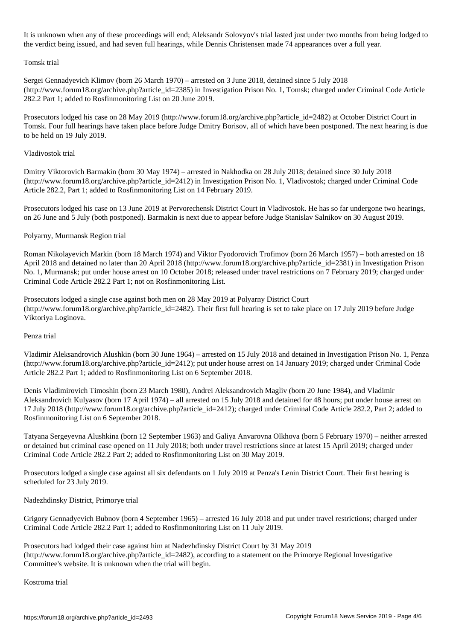It is unknown when any of these proceedings will end; Aleksandr Solovyov's trial lasted just under two months from being lodged to the verdict being issued, and had seven full hearings, while Dennis Christensen made 74 appearances over a full year.

#### Tomsk trial

Sergei Gennadyevich Klimov (born 26 March 1970) – arrested on 3 June 2018, detained since 5 July 2018 (http://www.forum18.org/archive.php?article\_id=2385) in Investigation Prison No. 1, Tomsk; charged under Criminal Code Article 282.2 Part 1; added to Rosfinmonitoring List on 20 June 2019.

Prosecutors lodged his case on 28 May 2019 (http://www.forum18.org/archive.php?article\_id=2482) at October District Court in Tomsk. Four full hearings have taken place before Judge Dmitry Borisov, all of which have been postponed. The next hearing is due to be held on 19 July 2019.

# Vladivostok trial

Dmitry Viktorovich Barmakin (born 30 May 1974) – arrested in Nakhodka on 28 July 2018; detained since 30 July 2018 (http://www.forum18.org/archive.php?article\_id=2412) in Investigation Prison No. 1, Vladivostok; charged under Criminal Code Article 282.2, Part 1; added to Rosfinmonitoring List on 14 February 2019.

Prosecutors lodged his case on 13 June 2019 at Pervorechensk District Court in Vladivostok. He has so far undergone two hearings, on 26 June and 5 July (both postponed). Barmakin is next due to appear before Judge Stanislav Salnikov on 30 August 2019.

# Polyarny, Murmansk Region trial

Roman Nikolayevich Markin (born 18 March 1974) and Viktor Fyodorovich Trofimov (born 26 March 1957) – both arrested on 18 April 2018 and detained no later than 20 April 2018 (http://www.forum18.org/archive.php?article\_id=2381) in Investigation Prison No. 1, Murmansk; put under house arrest on 10 October 2018; released under travel restrictions on 7 February 2019; charged under Criminal Code Article 282.2 Part 1; not on Rosfinmonitoring List.

Prosecutors lodged a single case against both men on 28 May 2019 at Polyarny District Court  $(\text{http://www.forum18.org/architecture.php?article id=2482).}$  Their first full hearing is set to take place on 17 July 2019 before Judge Viktoriya Loginova.

### Penza trial

Vladimir Aleksandrovich Alushkin (born 30 June 1964) – arrested on 15 July 2018 and detained in Investigation Prison No. 1, Penza (http://www.forum18.org/archive.php?article\_id=2412); put under house arrest on 14 January 2019; charged under Criminal Code Article 282.2 Part 1; added to Rosfinmonitoring List on 6 September 2018.

Denis Vladimirovich Timoshin (born 23 March 1980), Andrei Aleksandrovich Magliv (born 20 June 1984), and Vladimir Aleksandrovich Kulyasov (born 17 April 1974) – all arrested on 15 July 2018 and detained for 48 hours; put under house arrest on 17 July 2018 (http://www.forum18.org/archive.php?article\_id=2412); charged under Criminal Code Article 282.2, Part 2; added to Rosfinmonitoring List on 6 September 2018.

Tatyana Sergeyevna Alushkina (born 12 September 1963) and Galiya Anvarovna Olkhova (born 5 February 1970) – neither arrested or detained but criminal case opened on 11 July 2018; both under travel restrictions since at latest 15 April 2019; charged under Criminal Code Article 282.2 Part 2; added to Rosfinmonitoring List on 30 May 2019.

Prosecutors lodged a single case against all six defendants on 1 July 2019 at Penza's Lenin District Court. Their first hearing is scheduled for 23 July 2019.

Nadezhdinsky District, Primorye trial

Grigory Gennadyevich Bubnov (born 4 September 1965) – arrested 16 July 2018 and put under travel restrictions; charged under Criminal Code Article 282.2 Part 1; added to Rosfinmonitoring List on 11 July 2019.

Prosecutors had lodged their case against him at Nadezhdinsky District Court by 31 May 2019 (http://www.forum18.org/archive.php?article\_id=2482), according to a statement on the Primorye Regional Investigative Committee's website. It is unknown when the trial will begin.

Kostroma trial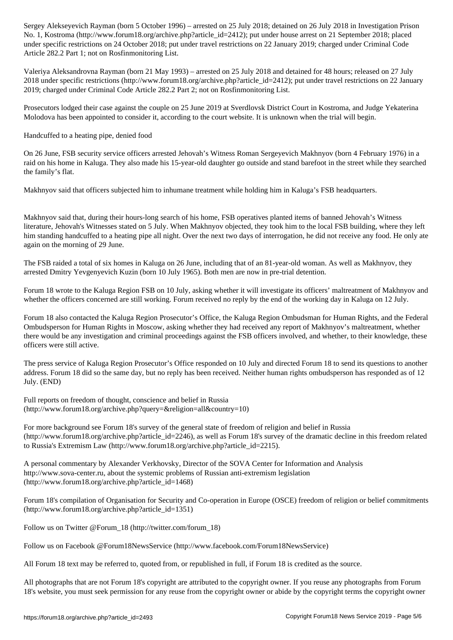$N$  is a control organisation of the 2412 september 2012  $p$  arrest on 21 September 2018; placed on 21 September 2018; placed on 21 September 2018; placed on 21 September 2018; placed on 21 September 2018; placed on 21 Se under specific restrictions on 24 October 2018; put under travel restrictions on 22 January 2019; charged under Criminal Code Article 282.2 Part 1; not on Rosfinmonitoring List.

Valeriya Aleksandrovna Rayman (born 21 May 1993) – arrested on 25 July 2018 and detained for 48 hours; released on 27 July 2018 under specific restrictions (http://www.forum18.org/archive.php?article\_id=2412); put under travel restrictions on 22 January 2019; charged under Criminal Code Article 282.2 Part 2; not on Rosfinmonitoring List.

Prosecutors lodged their case against the couple on 25 June 2019 at Sverdlovsk District Court in Kostroma, and Judge Yekaterina Molodova has been appointed to consider it, according to the court website. It is unknown when the trial will begin.

Handcuffed to a heating pipe, denied food

On 26 June, FSB security service officers arrested Jehovah's Witness Roman Sergeyevich Makhnyov (born 4 February 1976) in a raid on his home in Kaluga. They also made his 15-year-old daughter go outside and stand barefoot in the street while they searched the family's flat.

Makhnyov said that officers subjected him to inhumane treatment while holding him in Kaluga's FSB headquarters.

Makhnyov said that, during their hours-long search of his home, FSB operatives planted items of banned Jehovah's Witness literature, Jehovah's Witnesses stated on 5 July. When Makhnyov objected, they took him to the local FSB building, where they left him standing handcuffed to a heating pipe all night. Over the next two days of interrogation, he did not receive any food. He only ate again on the morning of 29 June.

The FSB raided a total of six homes in Kaluga on 26 June, including that of an 81-year-old woman. As well as Makhnyov, they arrested Dmitry Yevgenyevich Kuzin (born 10 July 1965). Both men are now in pre-trial detention.

Forum 18 wrote to the Kaluga Region FSB on 10 July, asking whether it will investigate its officers' maltreatment of Makhnyov and whether the officers concerned are still working. Forum received no reply by the end of the working day in Kaluga on 12 July.

Forum 18 also contacted the Kaluga Region Prosecutor's Office, the Kaluga Region Ombudsman for Human Rights, and the Federal Ombudsperson for Human Rights in Moscow, asking whether they had received any report of Makhnyov's maltreatment, whether there would be any investigation and criminal proceedings against the FSB officers involved, and whether, to their knowledge, these officers were still active.

The press service of Kaluga Region Prosecutor's Office responded on 10 July and directed Forum 18 to send its questions to another address. Forum 18 did so the same day, but no reply has been received. Neither human rights ombudsperson has responded as of 12 July. (END)

Full reports on freedom of thought, conscience and belief in Russia (http://www.forum18.org/archive.php?query=&religion=all&country=10)

For more background see Forum 18's survey of the general state of freedom of religion and belief in Russia (http://www.forum18.org/archive.php?article\_id=2246), as well as Forum 18's survey of the dramatic decline in this freedom related to Russia's Extremism Law (http://www.forum18.org/archive.php?article\_id=2215).

A personal commentary by Alexander Verkhovsky, Director of the SOVA Center for Information and Analysis http://www.sova-center.ru, about the systemic problems of Russian anti-extremism legislation (http://www.forum18.org/archive.php?article\_id=1468)

Forum 18's compilation of Organisation for Security and Co-operation in Europe (OSCE) freedom of religion or belief commitments (http://www.forum18.org/archive.php?article\_id=1351)

Follow us on Twitter @Forum\_18 (http://twitter.com/forum\_18)

Follow us on Facebook @Forum18NewsService (http://www.facebook.com/Forum18NewsService)

All Forum 18 text may be referred to, quoted from, or republished in full, if Forum 18 is credited as the source.

All photographs that are not Forum 18's copyright are attributed to the copyright owner. If you reuse any photographs from Forum 18's website, you must seek permission for any reuse from the copyright owner or abide by the copyright terms the copyright owner